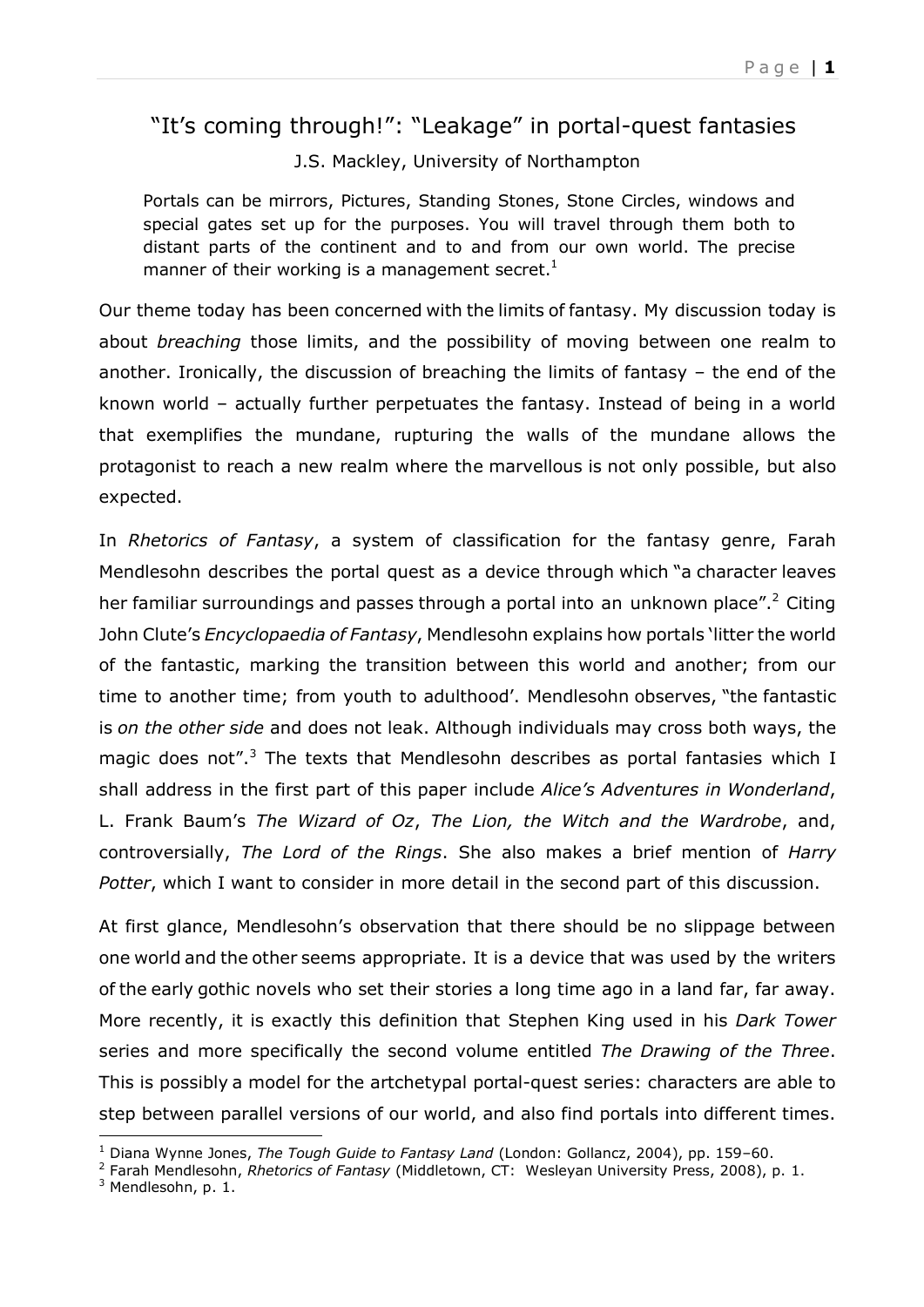## "It's coming through!": "Leakage" in portal-quest fantasies

J.S. Mackley, University of Northampton

Portals can be mirrors, Pictures, Standing Stones, Stone Circles, windows and special gates set up for the purposes. You will travel through them both to distant parts of the continent and to and from our own world. The precise manner of their working is a management secret. $1$ 

Our theme today has been concerned with the limits of fantasy. My discussion today is about *breaching* those limits, and the possibility of moving between one realm to another. Ironically, the discussion of breaching the limits of fantasy – the end of the known world – actually further perpetuates the fantasy. Instead of being in a world that exemplifies the mundane, rupturing the walls of the mundane allows the protagonist to reach a new realm where the marvellous is not only possible, but also expected.

In *Rhetorics of Fantasy*, a system of classification for the fantasy genre, Farah Mendlesohn describes the portal quest as a device through which "a character leaves her familiar surroundings and passes through a portal into an unknown place".<sup>2</sup> Citing John Clute's *Encyclopaedia of Fantasy*, Mendlesohn explains how portals 'litter the world of the fantastic, marking the transition between this world and another; from our time to another time; from youth to adulthood'. Mendlesohn observes, "the fantastic is *on the other side* and does not leak. Although individuals may cross both ways, the magic does not".<sup>3</sup> The texts that Mendlesohn describes as portal fantasies which I shall address in the first part of this paper include *Alice's Adventures in Wonderland*, L. Frank Baum's *The Wizard of Oz*, *The Lion, the Witch and the Wardrobe*, and, controversially, *The Lord of the Rings*. She also makes a brief mention of *Harry Potter*, which I want to consider in more detail in the second part of this discussion.

At first glance, Mendlesohn's observation that there should be no slippage between one world and the other seems appropriate. It is a device that was used by the writers of the early gothic novels who set their stories a long time ago in a land far, far away. More recently, it is exactly this definition that Stephen King used in his *Dark Tower* series and more specifically the second volume entitled *The Drawing of the Three*. This is possibly a model for the artchetypal portal-quest series: characters are able to step between parallel versions of our world, and also find portals into different times.

 $\overline{a}$ <sup>1</sup> Diana Wynne Jones, *The Tough Guide to Fantasy Land* (London: Gollancz, 2004), pp. 159–60.

<sup>2</sup> Farah Mendlesohn, *Rhetorics of Fantasy* (Middletown, CT: Wesleyan University Press, 2008), p. 1.

 $3$  Mendlesohn, p. 1.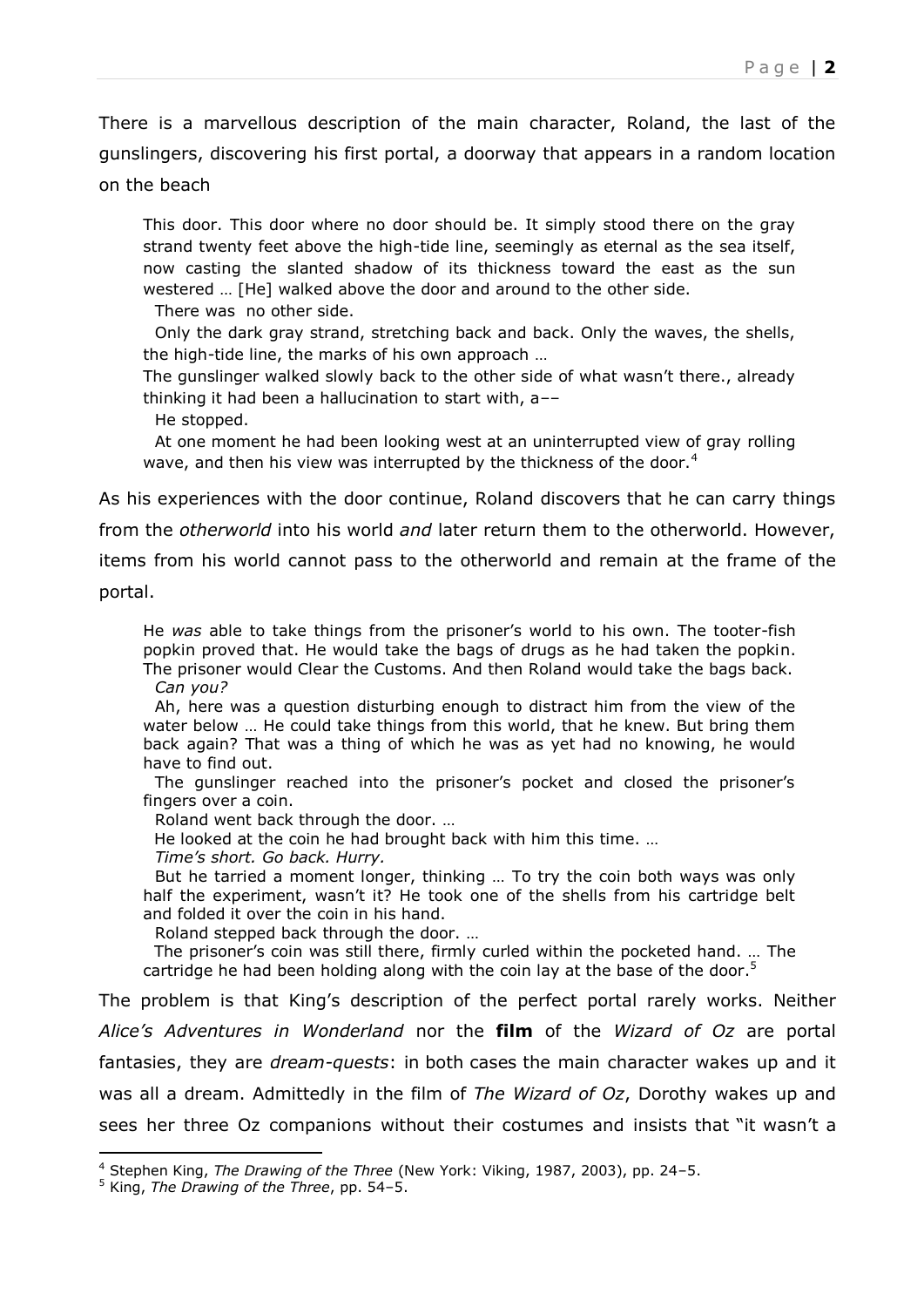There is a marvellous description of the main character, Roland, the last of the gunslingers, discovering his first portal, a doorway that appears in a random location on the beach

This door. This door where no door should be. It simply stood there on the gray strand twenty feet above the high-tide line, seemingly as eternal as the sea itself, now casting the slanted shadow of its thickness toward the east as the sun westered … [He] walked above the door and around to the other side.

There was no other side.

Only the dark gray strand, stretching back and back. Only the waves, the shells, the high-tide line, the marks of his own approach …

The gunslinger walked slowly back to the other side of what wasn't there., already thinking it had been a hallucination to start with, a––

He stopped.

At one moment he had been looking west at an uninterrupted view of gray rolling wave, and then his view was interrupted by the thickness of the door.<sup>4</sup>

As his experiences with the door continue, Roland discovers that he can carry things

from the *otherworld* into his world *and* later return them to the otherworld. However,

items from his world cannot pass to the otherworld and remain at the frame of the

portal.

j

He *was* able to take things from the prisoner's world to his own. The tooter-fish popkin proved that. He would take the bags of drugs as he had taken the popkin. The prisoner would Clear the Customs. And then Roland would take the bags back. *Can you?*

Ah, here was a question disturbing enough to distract him from the view of the water below … He could take things from this world, that he knew. But bring them back again? That was a thing of which he was as yet had no knowing, he would have to find out.

The gunslinger reached into the prisoner's pocket and closed the prisoner's fingers over a coin.

Roland went back through the door. …

He looked at the coin he had brought back with him this time. …

*Time's short. Go back. Hurry.*

But he tarried a moment longer, thinking … To try the coin both ways was only half the experiment, wasn't it? He took one of the shells from his cartridge belt and folded it over the coin in his hand.

Roland stepped back through the door. …

 The prisoner's coin was still there, firmly curled within the pocketed hand. … The cartridge he had been holding along with the coin lay at the base of the door.<sup>5</sup>

The problem is that King's description of the perfect portal rarely works. Neither *Alice's Adventures in Wonderland* nor the **film** of the *Wizard of Oz* are portal fantasies, they are *dream-quests*: in both cases the main character wakes up and it was all a dream. Admittedly in the film of *The Wizard of Oz*, Dorothy wakes up and sees her three Oz companions without their costumes and insists that "it wasn't a

<sup>4</sup> Stephen King, *The Drawing of the Three* (New York: Viking, 1987, 2003), pp. 24–5.

<sup>5</sup> King, *The Drawing of the Three*, pp. 54–5.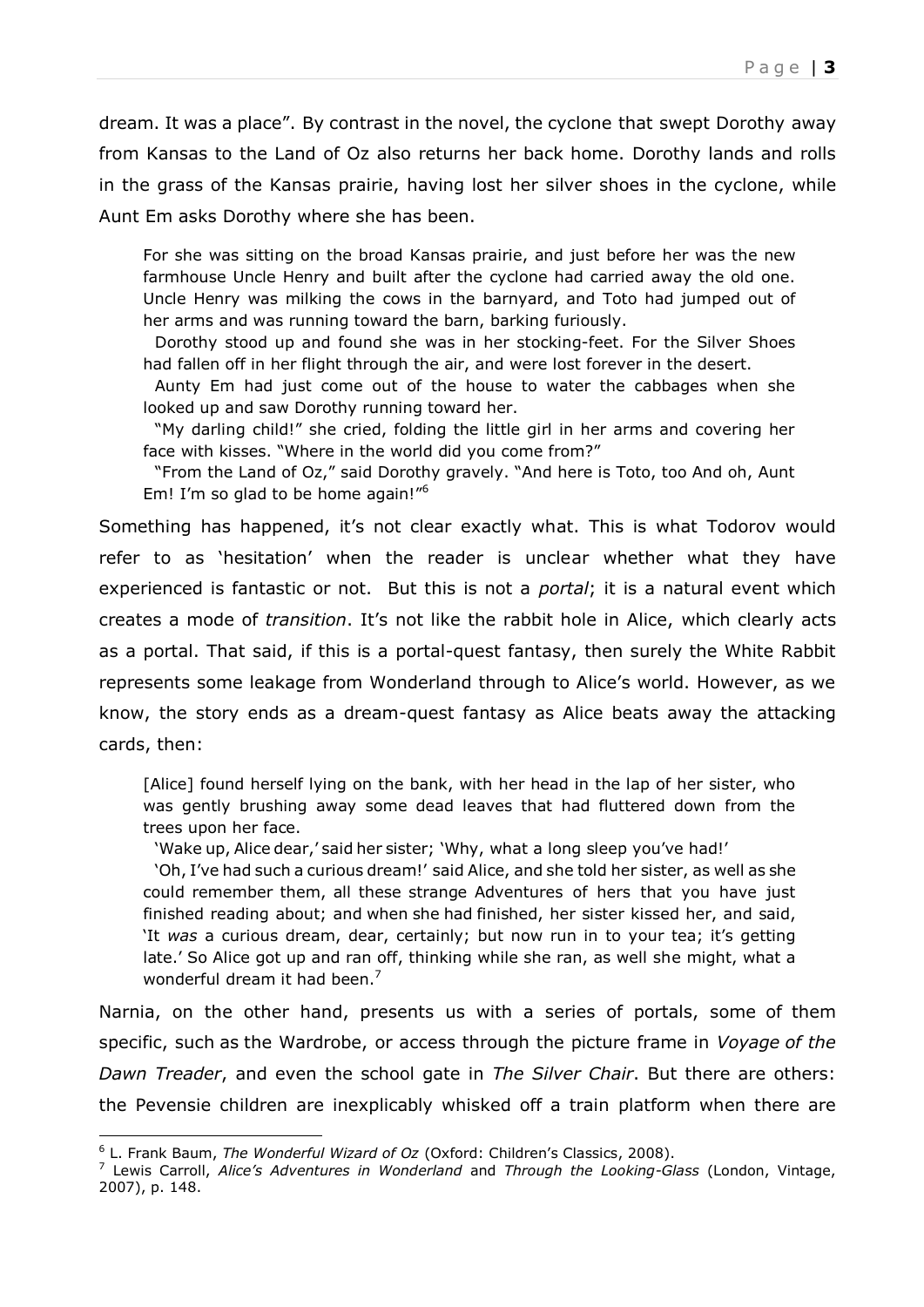dream. It was a place". By contrast in the novel, the cyclone that swept Dorothy away from Kansas to the Land of Oz also returns her back home. Dorothy lands and rolls in the grass of the Kansas prairie, having lost her silver shoes in the cyclone, while Aunt Em asks Dorothy where she has been.

For she was sitting on the broad Kansas prairie, and just before her was the new farmhouse Uncle Henry and built after the cyclone had carried away the old one. Uncle Henry was milking the cows in the barnyard, and Toto had jumped out of her arms and was running toward the barn, barking furiously.

Dorothy stood up and found she was in her stocking-feet. For the Silver Shoes had fallen off in her flight through the air, and were lost forever in the desert.

Aunty Em had just come out of the house to water the cabbages when she looked up and saw Dorothy running toward her.

"My darling child!" she cried, folding the little girl in her arms and covering her face with kisses. "Where in the world did you come from?"

"From the Land of Oz," said Dorothy gravely. "And here is Toto, too And oh, Aunt Em! I'm so glad to be home again!"<sup>6</sup>

Something has happened, it's not clear exactly what. This is what Todorov would refer to as 'hesitation' when the reader is unclear whether what they have experienced is fantastic or not. But this is not a *portal*; it is a natural event which creates a mode of *transition*. It's not like the rabbit hole in Alice, which clearly acts as a portal. That said, if this is a portal-quest fantasy, then surely the White Rabbit represents some leakage from Wonderland through to Alice's world. However, as we know, the story ends as a dream-quest fantasy as Alice beats away the attacking cards, then:

[Alice] found herself lying on the bank, with her head in the lap of her sister, who was gently brushing away some dead leaves that had fluttered down from the trees upon her face.

'Wake up, Alice dear,' said her sister; 'Why, what a long sleep you've had!'

'Oh, I've had such a curious dream!' said Alice, and she told her sister, as well as she could remember them, all these strange Adventures of hers that you have just finished reading about; and when she had finished, her sister kissed her, and said, 'It *was* a curious dream, dear, certainly; but now run in to your tea; it's getting late.' So Alice got up and ran off, thinking while she ran, as well she might, what a wonderful dream it had been. $<sup>7</sup>$ </sup>

Narnia, on the other hand, presents us with a series of portals, some of them specific, such as the Wardrobe, or access through the picture frame in *Voyage of the Dawn Treader*, and even the school gate in *The Silver Chair*. But there are others: the Pevensie children are inexplicably whisked off a train platform when there are

 $\overline{a}$ 

<sup>6</sup> L. Frank Baum, *The Wonderful Wizard of Oz* (Oxford: Children's Classics, 2008).

<sup>7</sup> Lewis Carroll, *Alice's Adventures in Wonderland* and *Through the Looking-Glass* (London, Vintage, 2007), p. 148.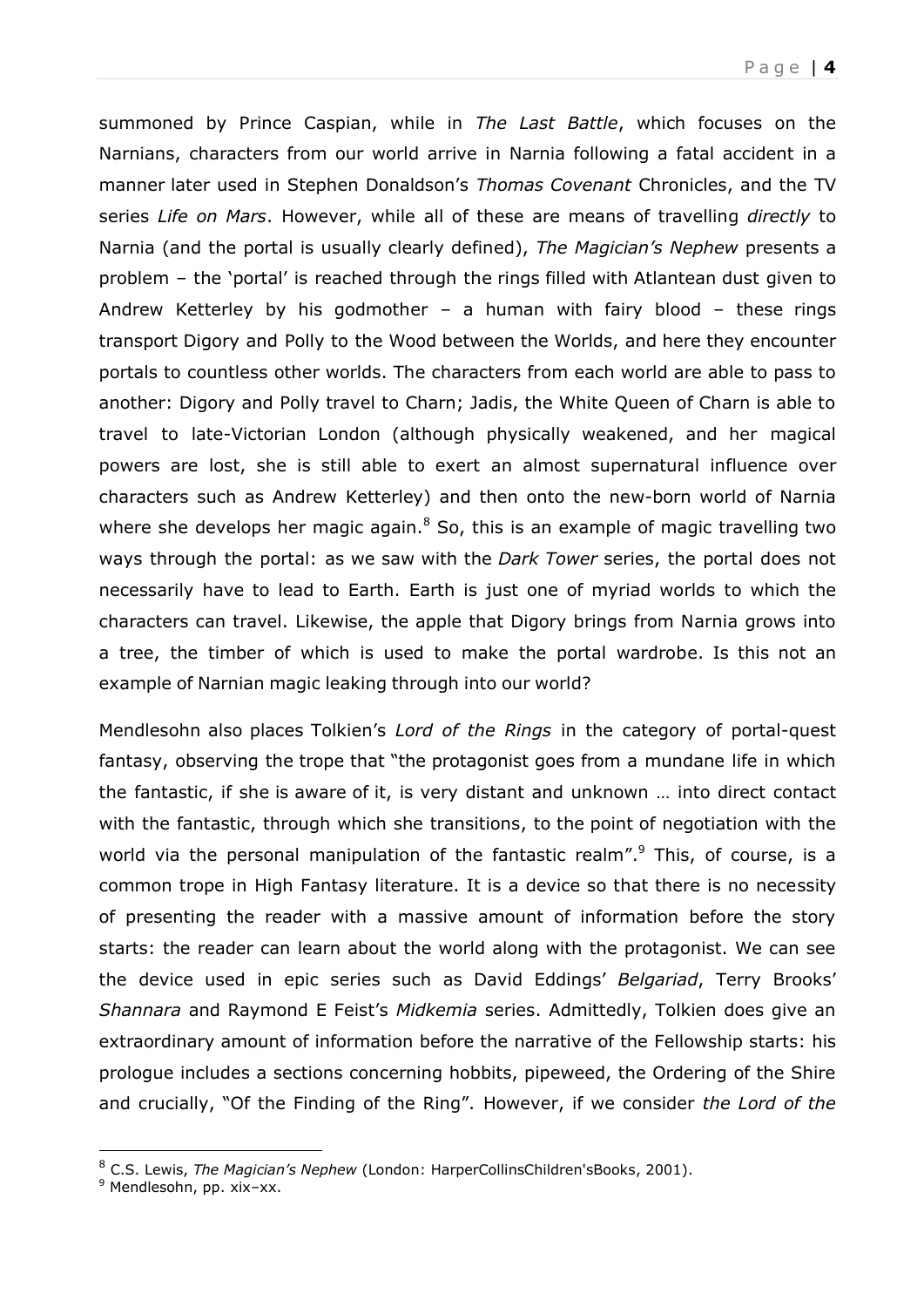summoned by Prince Caspian, while in *The Last Battle*, which focuses on the Narnians, characters from our world arrive in Narnia following a fatal accident in a manner later used in Stephen Donaldson's *Thomas Covenant* Chronicles, and the TV series *Life on Mars*. However, while all of these are means of travelling *directly* to Narnia (and the portal is usually clearly defined), *The Magician's Nephew* presents a problem – the 'portal' is reached through the rings filled with Atlantean dust given to Andrew Ketterley by his godmother – a human with fairy blood – these rings transport Digory and Polly to the Wood between the Worlds, and here they encounter portals to countless other worlds. The characters from each world are able to pass to another: Digory and Polly travel to Charn; Jadis, the White Queen of Charn is able to travel to late-Victorian London (although physically weakened, and her magical powers are lost, she is still able to exert an almost supernatural influence over characters such as Andrew Ketterley) and then onto the new-born world of Narnia where she develops her magic again. $8$  So, this is an example of magic travelling two ways through the portal: as we saw with the *Dark Tower* series, the portal does not necessarily have to lead to Earth. Earth is just one of myriad worlds to which the characters can travel. Likewise, the apple that Digory brings from Narnia grows into a tree, the timber of which is used to make the portal wardrobe. Is this not an example of Narnian magic leaking through into our world?

Mendlesohn also places Tolkien's *Lord of the Rings* in the category of portal-quest fantasy, observing the trope that "the protagonist goes from a mundane life in which the fantastic, if she is aware of it, is very distant and unknown … into direct contact with the fantastic, through which she transitions, to the point of negotiation with the world via the personal manipulation of the fantastic realm".<sup>9</sup> This, of course, is a common trope in High Fantasy literature. It is a device so that there is no necessity of presenting the reader with a massive amount of information before the story starts: the reader can learn about the world along with the protagonist. We can see the device used in epic series such as David Eddings' *Belgariad*, Terry Brooks' *Shannara* and Raymond E Feist's *Midkemia* series. Admittedly, Tolkien does give an extraordinary amount of information before the narrative of the Fellowship starts: his prologue includes a sections concerning hobbits, pipeweed, the Ordering of the Shire and crucially, "Of the Finding of the Ring". However, if we consider *the Lord of the* 

j

<sup>8</sup> C.S. Lewis, *The Magician's Nephew* (London: HarperCollinsChildren'sBooks, 2001).

<sup>&</sup>lt;sup>9</sup> Mendlesohn, pp. xix-xx.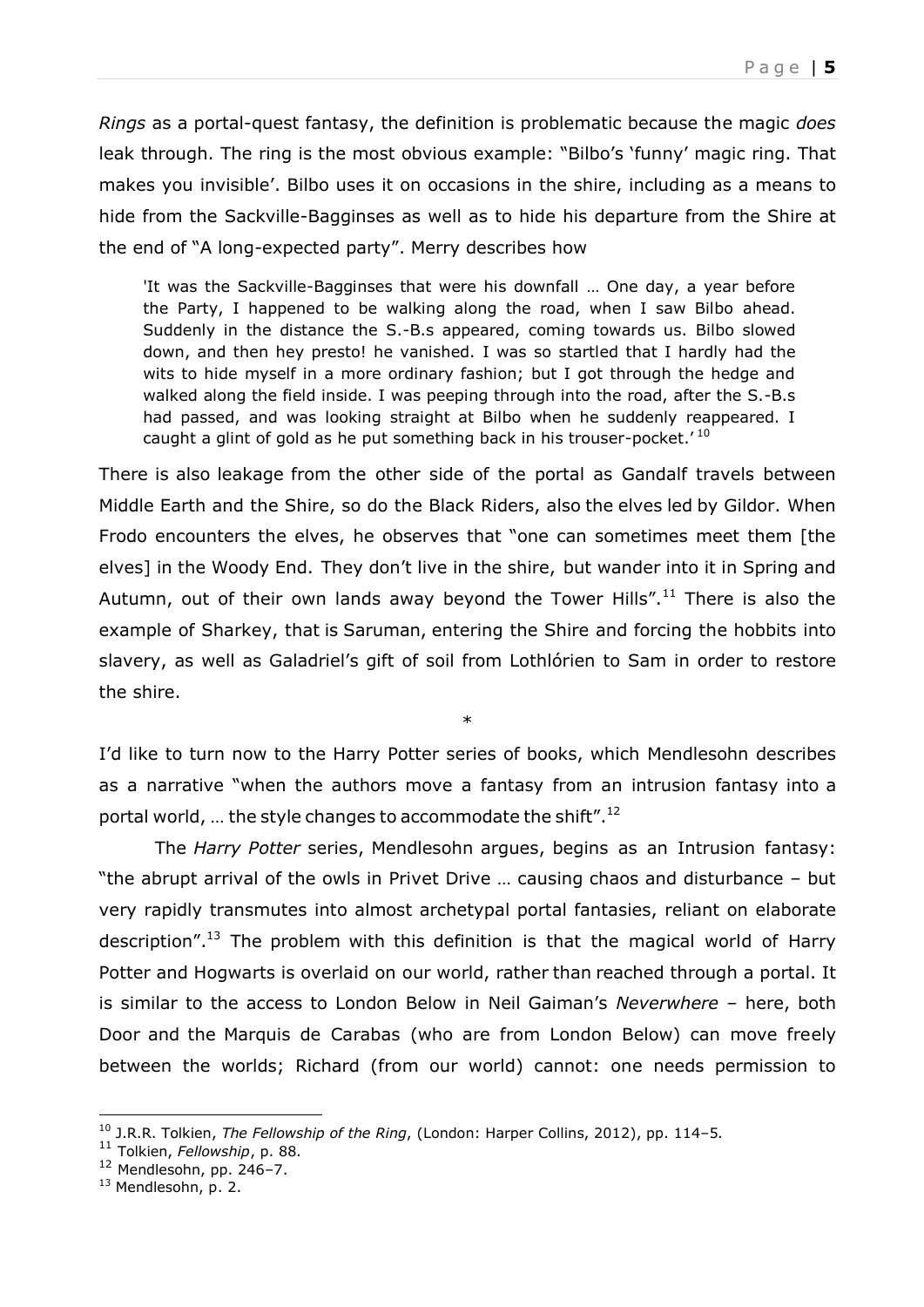*Rings* as a portal-quest fantasy, the definition is problematic because the magic *does* leak through. The ring is the most obvious example: "Bilbo's 'funny' magic ring. That makes you invisible'. Bilbo uses it on occasions in the shire, including as a means to hide from the Sackville-Bagginses as well as to hide his departure from the Shire at the end of "A long-expected party". Merry describes how

'It was the Sackville-Bagginses that were his downfall … One day, a year before the Party, I happened to be walking along the road, when I saw Bilbo ahead. Suddenly in the distance the S.-B.s appeared, coming towards us. Bilbo slowed down, and then hey presto! he vanished. I was so startled that I hardly had the wits to hide myself in a more ordinary fashion; but I got through the hedge and walked along the field inside. I was peeping through into the road, after the S.-B.s had passed, and was looking straight at Bilbo when he suddenly reappeared. I caught a glint of gold as he put something back in his trouser-pocket.<sup>'10</sup>

There is also leakage from the other side of the portal as Gandalf travels between Middle Earth and the Shire, so do the Black Riders, also the elves led by Gildor. When Frodo encounters the elves, he observes that "one can sometimes meet them [the elves] in the Woody End. They don't live in the shire, but wander into it in Spring and Autumn, out of their own lands away beyond the Tower Hills".<sup>11</sup> There is also the example of Sharkey, that is Saruman, entering the Shire and forcing the hobbits into slavery, as well as Galadriel's gift of soil from Lothlórien to Sam in order to restore the shire.

I'd like to turn now to the Harry Potter series of books, which Mendlesohn describes as a narrative "when the authors move a fantasy from an intrusion fantasy into a portal world, ... the style changes to accommodate the shift". $^{12}$ 

\*

The *Harry Potter* series, Mendlesohn argues, begins as an Intrusion fantasy: "the abrupt arrival of the owls in Privet Drive … causing chaos and disturbance – but very rapidly transmutes into almost archetypal portal fantasies, reliant on elaborate description".<sup>13</sup> The problem with this definition is that the magical world of Harry Potter and Hogwarts is overlaid on our world, rather than reached through a portal. It is similar to the access to London Below in Neil Gaiman's *Neverwhere –* here, both Door and the Marquis de Carabas (who are from London Below) can move freely between the worlds; Richard (from our world) cannot: one needs permission to

j

<sup>10</sup> J.R.R. Tolkien, *The Fellowship of the Ring*, (London: Harper Collins, 2012), pp. 114–5*.*

<sup>11</sup> Tolkien, *Fellowship*, p. 88*.*

 $12$  Mendlesohn, pp. 246-7.

<sup>&</sup>lt;sup>13</sup> Mendlesohn, p. 2.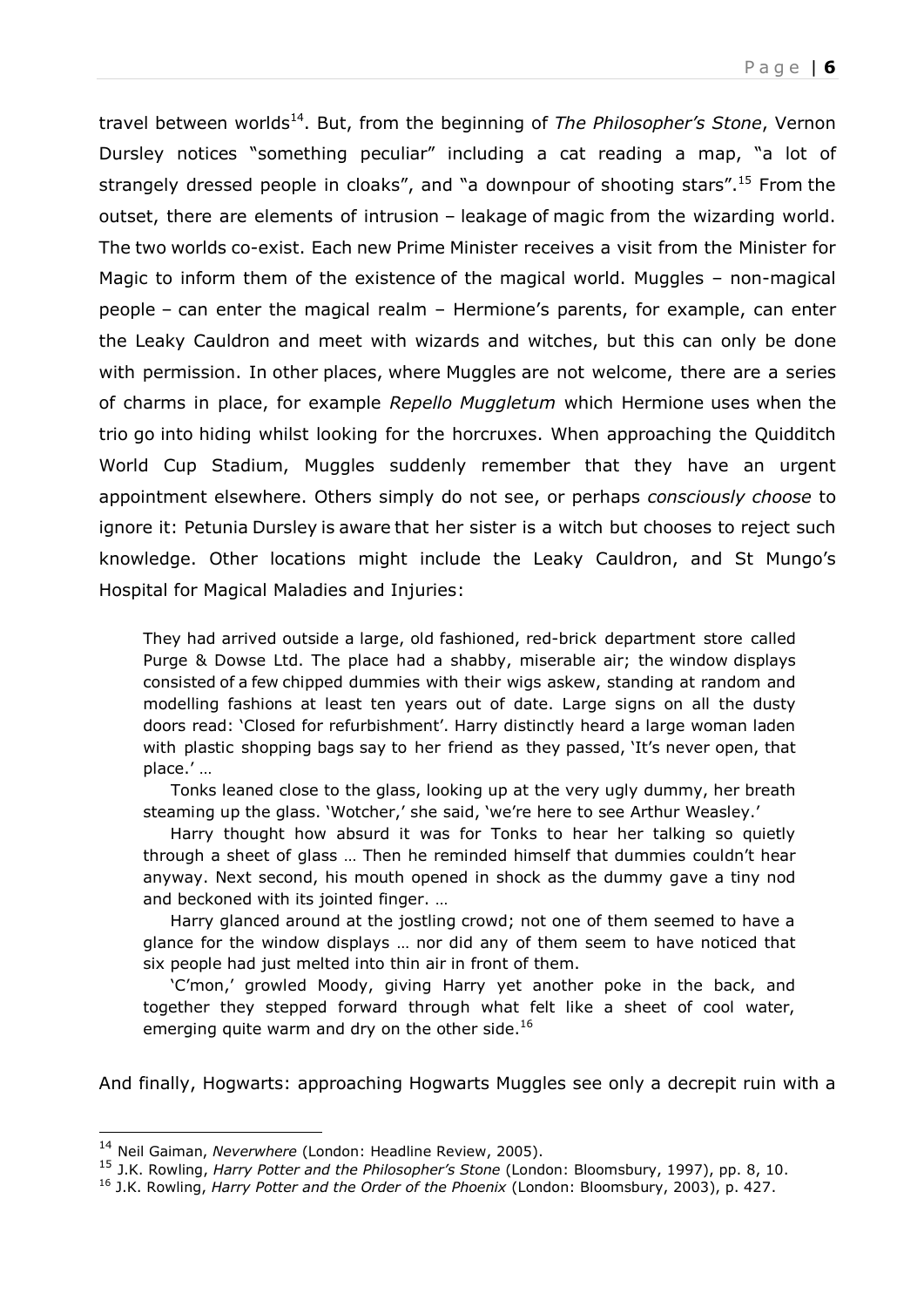P a g e | **6**

travel between worlds<sup>14</sup>. But, from the beginning of *The Philosopher's Stone*, Vernon Dursley notices "something peculiar" including a cat reading a map, "a lot of strangely dressed people in cloaks", and "a downpour of shooting stars".<sup>15</sup> From the outset, there are elements of intrusion – leakage of magic from the wizarding world. The two worlds co-exist. Each new Prime Minister receives a visit from the Minister for Magic to inform them of the existence of the magical world. Muggles – non-magical people – can enter the magical realm – Hermione's parents, for example, can enter the Leaky Cauldron and meet with wizards and witches, but this can only be done with permission. In other places, where Muggles are not welcome, there are a series of charms in place, for example *Repello Muggletum* which Hermione uses when the trio go into hiding whilst looking for the horcruxes. When approaching the Quidditch World Cup Stadium, Muggles suddenly remember that they have an urgent appointment elsewhere. Others simply do not see, or perhaps *consciously choose* to ignore it: Petunia Dursley is aware that her sister is a witch but chooses to reject such knowledge. Other locations might include the Leaky Cauldron, and St Mungo's Hospital for Magical Maladies and Injuries:

They had arrived outside a large, old fashioned, red-brick department store called Purge & Dowse Ltd. The place had a shabby, miserable air; the window displays consisted of a few chipped dummies with their wigs askew, standing at random and modelling fashions at least ten years out of date. Large signs on all the dusty doors read: 'Closed for refurbishment'. Harry distinctly heard a large woman laden with plastic shopping bags say to her friend as they passed, 'It's never open, that place.' …

 Tonks leaned close to the glass, looking up at the very ugly dummy, her breath steaming up the glass. 'Wotcher,' she said, 'we're here to see Arthur Weasley.'

 Harry thought how absurd it was for Tonks to hear her talking so quietly through a sheet of glass … Then he reminded himself that dummies couldn't hear anyway. Next second, his mouth opened in shock as the dummy gave a tiny nod and beckoned with its jointed finger. …

 Harry glanced around at the jostling crowd; not one of them seemed to have a glance for the window displays … nor did any of them seem to have noticed that six people had just melted into thin air in front of them.

 'C'mon,' growled Moody, giving Harry yet another poke in the back, and together they stepped forward through what felt like a sheet of cool water, emerging quite warm and dry on the other side.<sup>16</sup>

And finally, Hogwarts: approaching Hogwarts Muggles see only a decrepit ruin with a

 $\overline{a}$ 

<sup>14</sup> Neil Gaiman, *Neverwhere* (London: Headline Review, 2005).

<sup>15</sup> J.K. Rowling, *Harry Potter and the Philosopher's Stone* (London: Bloomsbury, 1997), pp. 8, 10.

<sup>16</sup> J.K. Rowling, *Harry Potter and the Order of the Phoenix* (London: Bloomsbury, 2003), p. 427.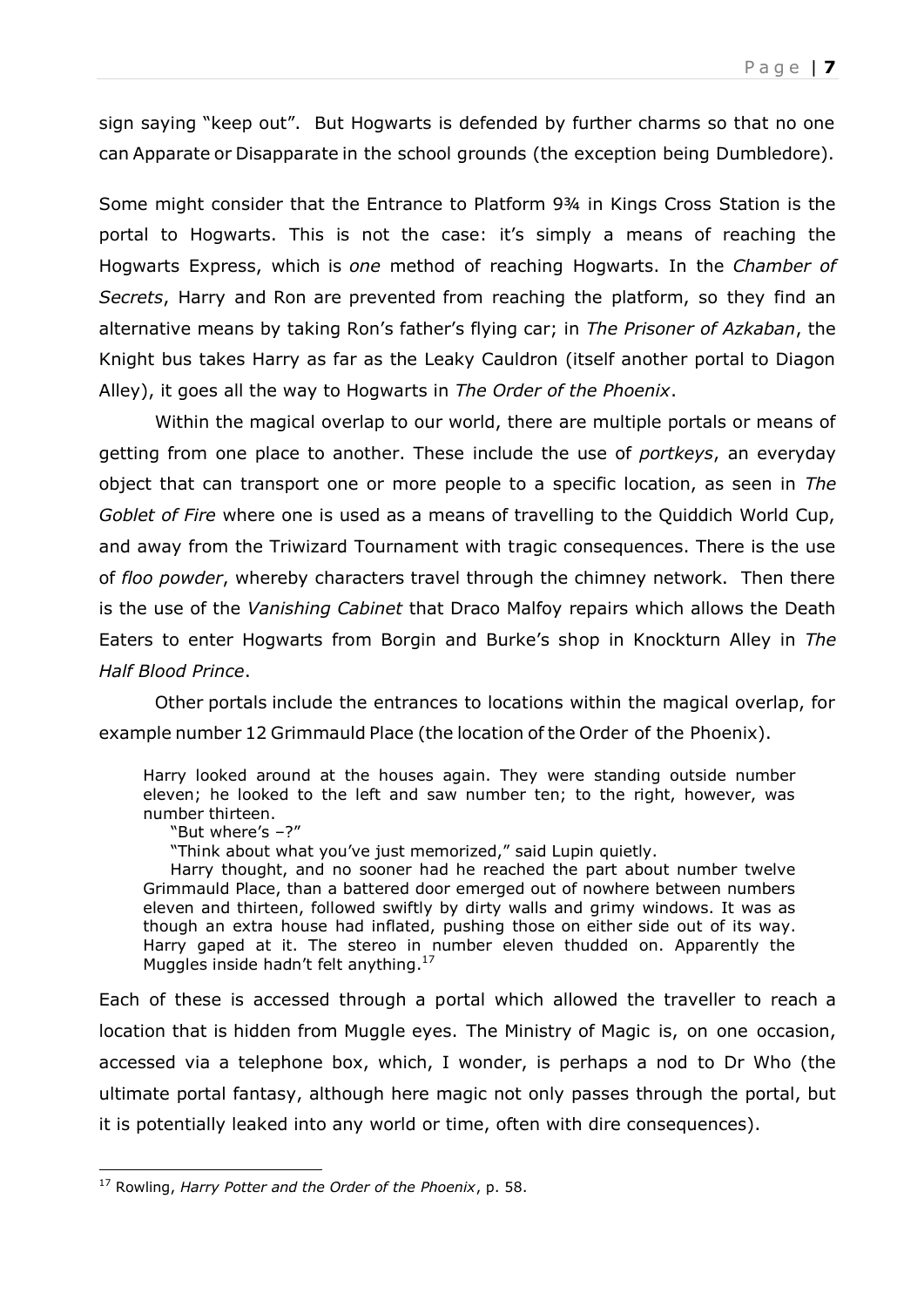sign saying "keep out". But Hogwarts is defended by further charms so that no one can Apparate or Disapparate in the school grounds (the exception being Dumbledore).

Some might consider that the Entrance to Platform 9¾ in Kings Cross Station is the portal to Hogwarts. This is not the case: it's simply a means of reaching the Hogwarts Express, which is *one* method of reaching Hogwarts. In the *Chamber of Secrets*, Harry and Ron are prevented from reaching the platform, so they find an alternative means by taking Ron's father's flying car; in *The Prisoner of Azkaban*, the Knight bus takes Harry as far as the Leaky Cauldron (itself another portal to Diagon Alley), it goes all the way to Hogwarts in *The Order of the Phoenix*.

Within the magical overlap to our world, there are multiple portals or means of getting from one place to another. These include the use of *portkeys*, an everyday object that can transport one or more people to a specific location, as seen in *The Goblet of Fire* where one is used as a means of travelling to the Quiddich World Cup, and away from the Triwizard Tournament with tragic consequences. There is the use of *floo powder*, whereby characters travel through the chimney network. Then there is the use of the *Vanishing Cabinet* that Draco Malfoy repairs which allows the Death Eaters to enter Hogwarts from Borgin and Burke's shop in Knockturn Alley in *The Half Blood Prince*.

Other portals include the entrances to locations within the magical overlap, for example number 12 Grimmauld Place (the location of the Order of the Phoenix).

Harry looked around at the houses again. They were standing outside number eleven; he looked to the left and saw number ten; to the right, however, was number thirteen.

"But where's –?"

 $\overline{a}$ 

"Think about what you've just memorized," said Lupin quietly.

 Harry thought, and no sooner had he reached the part about number twelve Grimmauld Place, than a battered door emerged out of nowhere between numbers eleven and thirteen, followed swiftly by dirty walls and grimy windows. It was as though an extra house had inflated, pushing those on either side out of its way. Harry gaped at it. The stereo in number eleven thudded on. Apparently the Muggles inside hadn't felt anything.<sup>17</sup>

Each of these is accessed through a portal which allowed the traveller to reach a location that is hidden from Muggle eyes. The Ministry of Magic is, on one occasion, accessed via a telephone box, which, I wonder, is perhaps a nod to Dr Who (the ultimate portal fantasy, although here magic not only passes through the portal, but it is potentially leaked into any world or time, often with dire consequences).

<sup>17</sup> Rowling, *Harry Potter and the Order of the Phoenix*, p. 58.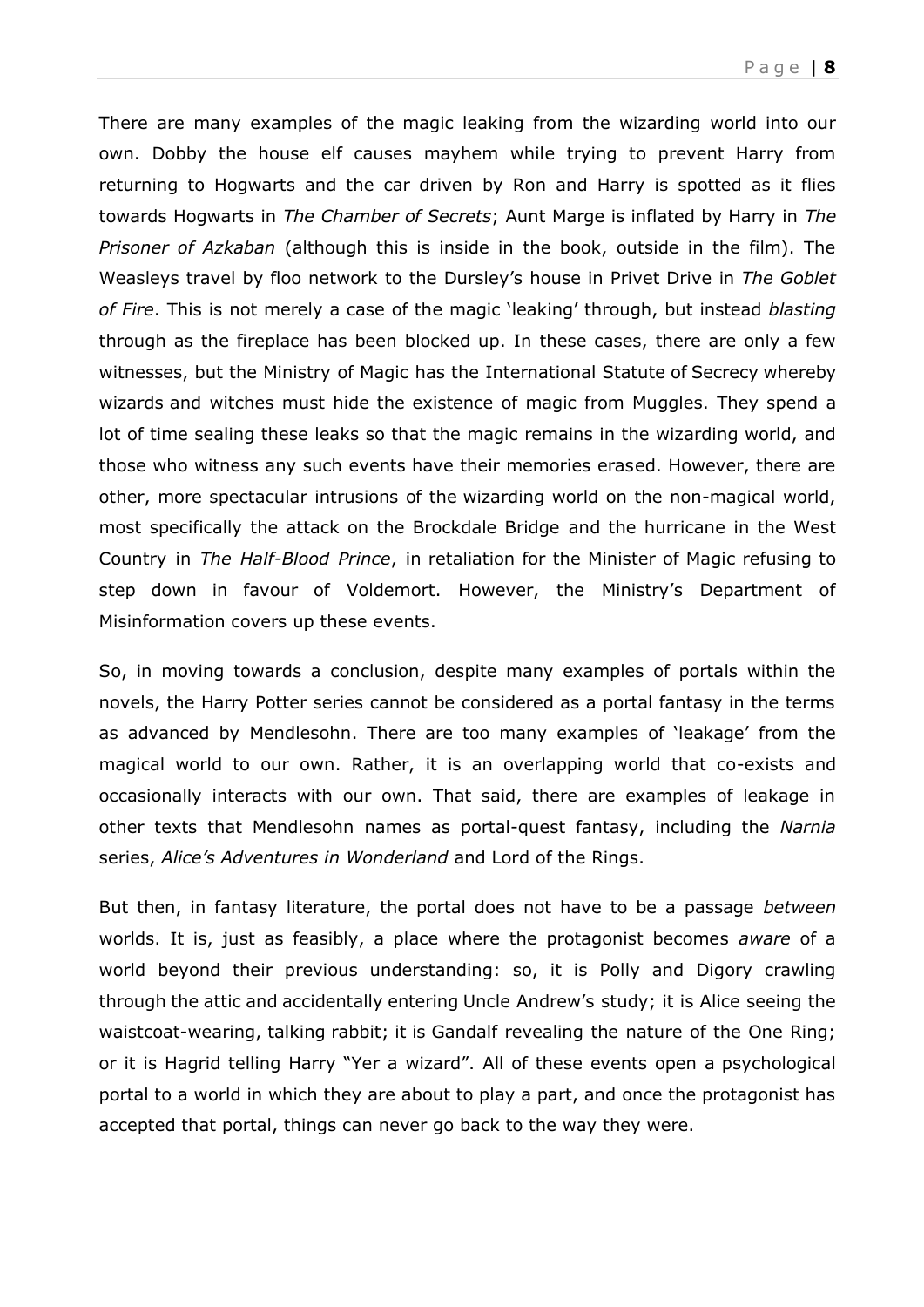There are many examples of the magic leaking from the wizarding world into our own. Dobby the house elf causes mayhem while trying to prevent Harry from returning to Hogwarts and the car driven by Ron and Harry is spotted as it flies towards Hogwarts in *The Chamber of Secrets*; Aunt Marge is inflated by Harry in *The Prisoner of Azkaban* (although this is inside in the book, outside in the film). The Weasleys travel by floo network to the Dursley's house in Privet Drive in *The Goblet of Fire*. This is not merely a case of the magic 'leaking' through, but instead *blasting* through as the fireplace has been blocked up. In these cases, there are only a few witnesses, but the Ministry of Magic has the International Statute of Secrecy whereby wizards and witches must hide the existence of magic from Muggles. They spend a lot of time sealing these leaks so that the magic remains in the wizarding world, and those who witness any such events have their memories erased. However, there are other, more spectacular intrusions of the wizarding world on the non-magical world, most specifically the attack on the Brockdale Bridge and the hurricane in the West Country in *The Half-Blood Prince*, in retaliation for the Minister of Magic refusing to step down in favour of Voldemort. However, the Ministry's Department of Misinformation covers up these events.

So, in moving towards a conclusion, despite many examples of portals within the novels, the Harry Potter series cannot be considered as a portal fantasy in the terms as advanced by Mendlesohn. There are too many examples of 'leakage' from the magical world to our own. Rather, it is an overlapping world that co-exists and occasionally interacts with our own. That said, there are examples of leakage in other texts that Mendlesohn names as portal-quest fantasy, including the *Narnia* series, *Alice's Adventures in Wonderland* and Lord of the Rings.

But then, in fantasy literature, the portal does not have to be a passage *between* worlds. It is, just as feasibly, a place where the protagonist becomes *aware* of a world beyond their previous understanding: so, it is Polly and Digory crawling through the attic and accidentally entering Uncle Andrew's study; it is Alice seeing the waistcoat-wearing, talking rabbit; it is Gandalf revealing the nature of the One Ring; or it is Hagrid telling Harry "Yer a wizard". All of these events open a psychological portal to a world in which they are about to play a part, and once the protagonist has accepted that portal, things can never go back to the way they were.